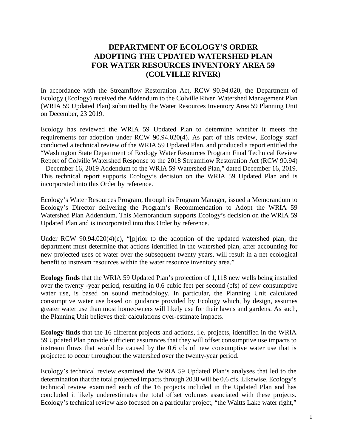## **DEPARTMENT OF ECOLOGY'S ORDER ADOPTING THE UPDATED WATERSHED PLAN FOR WATER RESOURCES INVENTORY AREA 59 (COLVILLE RIVER)**

In accordance with the Streamflow Restoration Act, RCW 90.94.020, the Department of Ecology (Ecology) received the Addendum to the Colville River Watershed Management Plan (WRIA 59 Updated Plan) submitted by the Water Resources Inventory Area 59 Planning Unit on December, 23 2019.

Ecology has reviewed the WRIA 59 Updated Plan to determine whether it meets the requirements for adoption under RCW 90.94.020(4). As part of this review, Ecology staff conducted a technical review of the WRIA 59 Updated Plan, and produced a report entitled the "Washington State Department of Ecology Water Resources Program Final Technical Review Report of Colville Watershed Response to the 2018 Streamflow Restoration Act (RCW 90.94) – December 16, 2019 Addendum to the WRIA 59 Watershed Plan," dated December 16, 2019. This technical report supports Ecology's decision on the WRIA 59 Updated Plan and is incorporated into this Order by reference.

Ecology's Water Resources Program, through its Program Manager, issued a Memorandum to Ecology's Director delivering the Program's Recommendation to Adopt the WRIA 59 Watershed Plan Addendum. This Memorandum supports Ecology's decision on the WRIA 59 Updated Plan and is incorporated into this Order by reference.

Under RCW 90.94.020(4)(c), "[p]rior to the adoption of the updated watershed plan, the department must determine that actions identified in the watershed plan, after accounting for new projected uses of water over the subsequent twenty years, will result in a net ecological benefit to instream resources within the water resource inventory area."

**Ecology finds** that the WRIA 59 Updated Plan's projection of 1,118 new wells being installed over the twenty -year period, resulting in 0.6 cubic feet per second (cfs) of new consumptive water use, is based on sound methodology. In particular, the Planning Unit calculated consumptive water use based on guidance provided by Ecology which, by design, assumes greater water use than most homeowners will likely use for their lawns and gardens. As such, the Planning Unit believes their calculations over-estimate impacts.

**Ecology finds** that the 16 different projects and actions, i.e. projects, identified in the WRIA 59 Updated Plan provide sufficient assurances that they will offset consumptive use impacts to instream flows that would be caused by the 0.6 cfs of new consumptive water use that is projected to occur throughout the watershed over the twenty-year period.

Ecology's technical review examined the WRIA 59 Updated Plan's analyses that led to the determination that the total projected impacts through 2038 will be 0.6 cfs. Likewise, Ecology's technical review examined each of the 16 projects included in the Updated Plan and has concluded it likely underestimates the total offset volumes associated with these projects. Ecology's technical review also focused on a particular project, "the Waitts Lake water right,"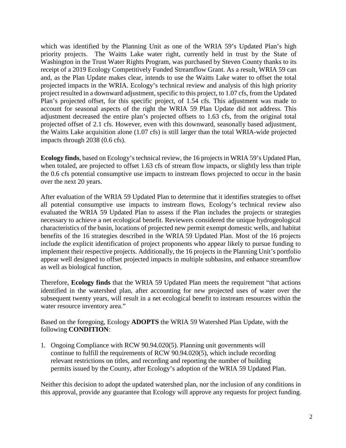which was identified by the Planning Unit as one of the WRIA 59's Updated Plan's high priority projects. The Waitts Lake water right, currently held in trust by the State of Washington in the Trust Water Rights Program, was purchased by Steven County thanks to its receipt of a 2019 Ecology Competitively Funded Streamflow Grant. As a result, WRIA 59 can and, as the Plan Update makes clear, intends to use the Waitts Lake water to offset the total projected impacts in the WRIA. Ecology's technical review and analysis of this high priority project resulted in a downward adjustment, specific to this project, to 1.07 cfs, from the Updated Plan's projected offset, for this specific project, of 1.54 cfs. This adjustment was made to account for seasonal aspects of the right the WRIA 59 Plan Update did not address. This adjustment decreased the entire plan's projected offsets to 1.63 cfs, from the original total projected offset of 2.1 cfs. However, even with this downward, seasonally based adjustment, the Waitts Lake acquisition alone (1.07 cfs) is still larger than the total WRIA-wide projected impacts through 2038 (0.6 cfs).

**Ecology finds**, based on Ecology's technical review, the 16 projects in WRIA 59's Updated Plan, when totaled, are projected to offset 1.63 cfs of stream flow impacts, or slightly less than triple the 0.6 cfs potential consumptive use impacts to instream flows projected to occur in the basin over the next 20 years.

After evaluation of the WRIA 59 Updated Plan to determine that it identifies strategies to offset all potential consumptive use impacts to instream flows, Ecology's technical review also evaluated the WRIA 59 Updated Plan to assess if the Plan includes the projects or strategies necessary to achieve a net ecological benefit. Reviewers considered the unique hydrogeological characteristics of the basin, locations of projected new permit exempt domestic wells, and habitat benefits of the 16 strategies described in the WRIA 59 Updated Plan. Most of the 16 projects include the explicit identification of project proponents who appear likely to pursue funding to implement their respective projects. Additionally, the 16 projects in the Planning Unit's portfolio appear well designed to offset projected impacts in multiple subbasins, and enhance streamflow as well as biological function,

Therefore, **Ecology finds** that the WRIA 59 Updated Plan meets the requirement "that actions identified in the watershed plan, after accounting for new projected uses of water over the subsequent twenty years, will result in a net ecological benefit to instream resources within the water resource inventory area."

Based on the foregoing, Ecology **ADOPTS** the WRIA 59 Watershed Plan Update, with the following **CONDITION**:

1. Ongoing Compliance with RCW 90.94.020(5). Planning unit governments will continue to fulfill the requirements of RCW 90.94.020(5), which include recording relevant restrictions on titles, and recording and reporting the number of building permits issued by the County, after Ecology's adoption of the WRIA 59 Updated Plan.

Neither this decision to adopt the updated watershed plan, nor the inclusion of any conditions in this approval, provide any guarantee that Ecology will approve any requests for project funding.